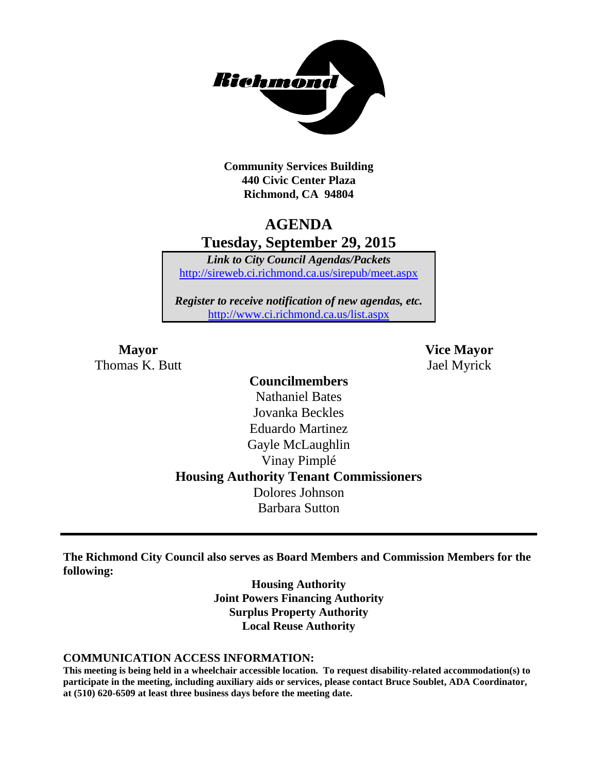

**Community Services Building 440 Civic Center Plaza Richmond, CA 94804**

### **AGENDA Tuesday, September 29, 2015**

*Link to City Council Agendas/Packets* <http://sireweb.ci.richmond.ca.us/sirepub/meet.aspx>

*Register to receive notification of new agendas, etc.* <http://www.ci.richmond.ca.us/list.aspx>

Thomas K. Butt Jael Myrick

**Mayor Vice Mayor**

### **Councilmembers** Nathaniel Bates Jovanka Beckles Eduardo Martinez Gayle McLaughlin Vinay Pimplé **Housing Authority Tenant Commissioners** Dolores Johnson Barbara Sutton

**The Richmond City Council also serves as Board Members and Commission Members for the following:**

> **Housing Authority Joint Powers Financing Authority Surplus Property Authority Local Reuse Authority**

#### **COMMUNICATION ACCESS INFORMATION:**

**This meeting is being held in a wheelchair accessible location. To request disability-related accommodation(s) to participate in the meeting, including auxiliary aids or services, please contact Bruce Soublet, ADA Coordinator, at (510) 620-6509 at least three business days before the meeting date.**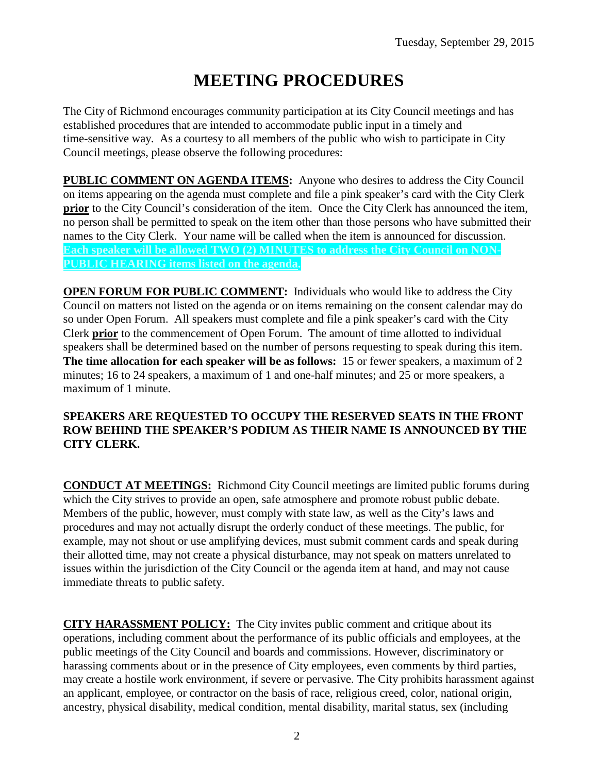# **MEETING PROCEDURES**

The City of Richmond encourages community participation at its City Council meetings and has established procedures that are intended to accommodate public input in a timely and time-sensitive way. As a courtesy to all members of the public who wish to participate in City Council meetings, please observe the following procedures:

**PUBLIC COMMENT ON AGENDA ITEMS:** Anyone who desires to address the City Council on items appearing on the agenda must complete and file a pink speaker's card with the City Clerk **prior** to the City Council's consideration of the item. Once the City Clerk has announced the item, no person shall be permitted to speak on the item other than those persons who have submitted their names to the City Clerk. Your name will be called when the item is announced for discussion. **Each speaker will be allowed TWO (2) MINUTES to address the City Council on NON-PUBLIC HEARING items listed on the agenda.**

**OPEN FORUM FOR PUBLIC COMMENT:** Individuals who would like to address the City Council on matters not listed on the agenda or on items remaining on the consent calendar may do so under Open Forum. All speakers must complete and file a pink speaker's card with the City Clerk **prior** to the commencement of Open Forum. The amount of time allotted to individual speakers shall be determined based on the number of persons requesting to speak during this item. **The time allocation for each speaker will be as follows:** 15 or fewer speakers, a maximum of 2 minutes; 16 to 24 speakers, a maximum of 1 and one-half minutes; and 25 or more speakers, a maximum of 1 minute.

#### **SPEAKERS ARE REQUESTED TO OCCUPY THE RESERVED SEATS IN THE FRONT ROW BEHIND THE SPEAKER'S PODIUM AS THEIR NAME IS ANNOUNCED BY THE CITY CLERK.**

**CONDUCT AT MEETINGS:** Richmond City Council meetings are limited public forums during which the City strives to provide an open, safe atmosphere and promote robust public debate. Members of the public, however, must comply with state law, as well as the City's laws and procedures and may not actually disrupt the orderly conduct of these meetings. The public, for example, may not shout or use amplifying devices, must submit comment cards and speak during their allotted time, may not create a physical disturbance, may not speak on matters unrelated to issues within the jurisdiction of the City Council or the agenda item at hand, and may not cause immediate threats to public safety.

**CITY HARASSMENT POLICY:** The City invites public comment and critique about its operations, including comment about the performance of its public officials and employees, at the public meetings of the City Council and boards and commissions. However, discriminatory or harassing comments about or in the presence of City employees, even comments by third parties, may create a hostile work environment, if severe or pervasive. The City prohibits harassment against an applicant, employee, or contractor on the basis of race, religious creed, color, national origin, ancestry, physical disability, medical condition, mental disability, marital status, sex (including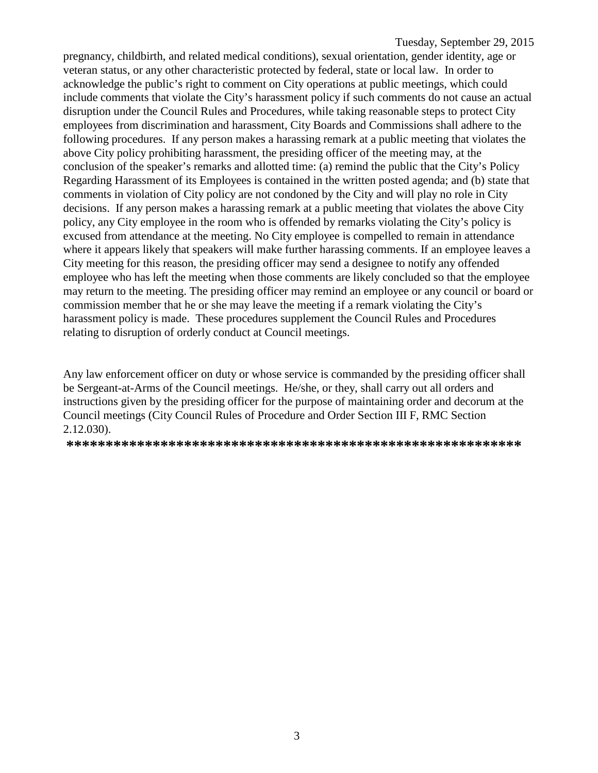pregnancy, childbirth, and related medical conditions), sexual orientation, gender identity, age or veteran status, or any other characteristic protected by federal, state or local law. In order to acknowledge the public's right to comment on City operations at public meetings, which could include comments that violate the City's harassment policy if such comments do not cause an actual disruption under the Council Rules and Procedures, while taking reasonable steps to protect City employees from discrimination and harassment, City Boards and Commissions shall adhere to the following procedures. If any person makes a harassing remark at a public meeting that violates the above City policy prohibiting harassment, the presiding officer of the meeting may, at the conclusion of the speaker's remarks and allotted time: (a) remind the public that the City's Policy Regarding Harassment of its Employees is contained in the written posted agenda; and (b) state that comments in violation of City policy are not condoned by the City and will play no role in City decisions. If any person makes a harassing remark at a public meeting that violates the above City policy, any City employee in the room who is offended by remarks violating the City's policy is excused from attendance at the meeting. No City employee is compelled to remain in attendance where it appears likely that speakers will make further harassing comments. If an employee leaves a City meeting for this reason, the presiding officer may send a designee to notify any offended employee who has left the meeting when those comments are likely concluded so that the employee may return to the meeting. The presiding officer may remind an employee or any council or board or commission member that he or she may leave the meeting if a remark violating the City's harassment policy is made. These procedures supplement the Council Rules and Procedures relating to disruption of orderly conduct at Council meetings.

Any law enforcement officer on duty or whose service is commanded by the presiding officer shall be Sergeant-at-Arms of the Council meetings. He/she, or they, shall carry out all orders and instructions given by the presiding officer for the purpose of maintaining order and decorum at the Council meetings (City Council Rules of Procedure and Order Section III F, RMC Section 2.12.030).

**\*\*\*\*\*\*\*\*\*\*\*\*\*\*\*\*\*\*\*\*\*\*\*\*\*\*\*\*\*\*\*\*\*\*\*\*\*\*\*\*\*\*\*\*\*\*\*\*\*\*\*\*\*\*\*\*\*\***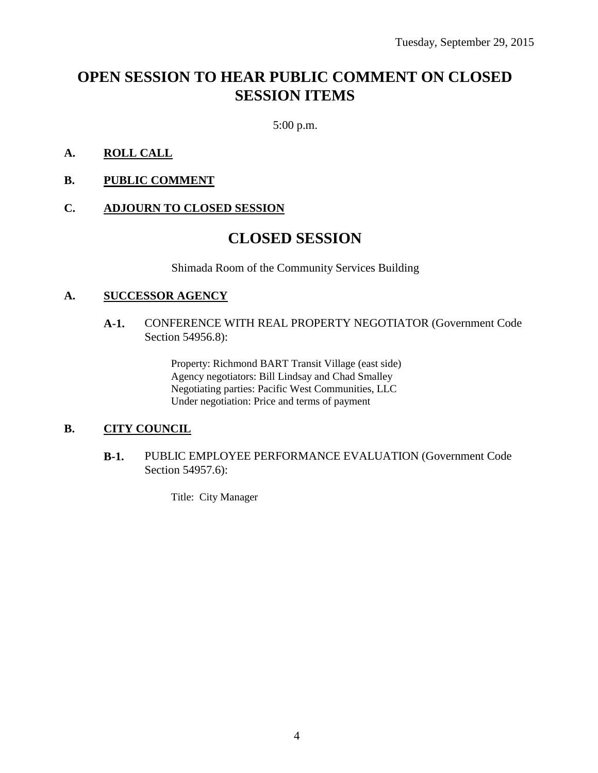## **OPEN SESSION TO HEAR PUBLIC COMMENT ON CLOSED SESSION ITEMS**

5:00 p.m.

- **A. ROLL CALL**
- **B. PUBLIC COMMENT**

#### **C. ADJOURN TO CLOSED SESSION**

### **CLOSED SESSION**

Shimada Room of the Community Services Building

#### **A. SUCCESSOR AGENCY**

#### **A-1.** CONFERENCE WITH REAL PROPERTY NEGOTIATOR (Government Code Section 54956.8):

Property: Richmond BART Transit Village (east side) Agency negotiators: Bill Lindsay and Chad Smalley Negotiating parties: Pacific West Communities, LLC Under negotiation: Price and terms of payment

#### **B. CITY COUNCIL**

**B-1.** PUBLIC EMPLOYEE PERFORMANCE EVALUATION (Government Code Section 54957.6):

Title: City Manager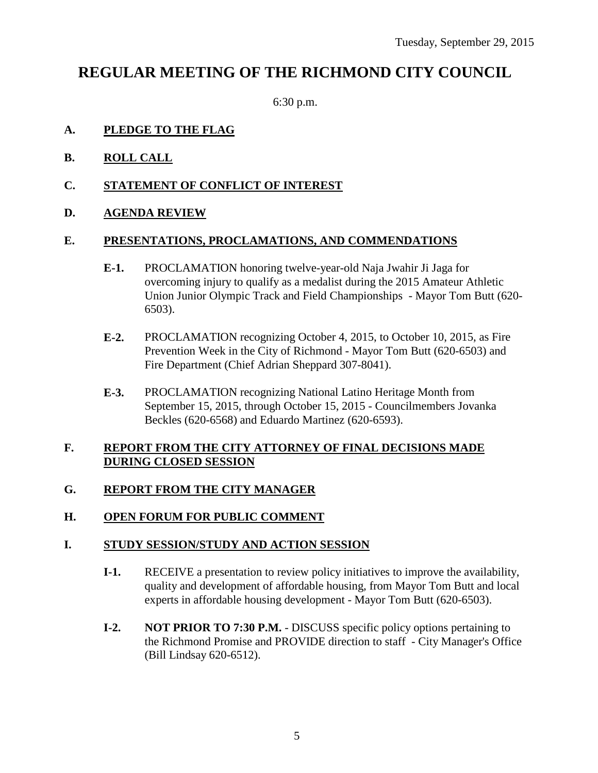## **REGULAR MEETING OF THE RICHMOND CITY COUNCIL**

6:30 p.m.

#### **A. PLEDGE TO THE FLAG**

- **B. ROLL CALL**
- **C. STATEMENT OF CONFLICT OF INTEREST**
- **D. AGENDA REVIEW**

#### **E. PRESENTATIONS, PROCLAMATIONS, AND COMMENDATIONS**

- **E-1.** PROCLAMATION honoring twelve-year-old Naja Jwahir Ji Jaga for overcoming injury to qualify as a medalist during the 2015 Amateur Athletic Union Junior Olympic Track and Field Championships - Mayor Tom Butt (620- 6503).
- **E-2.** PROCLAMATION recognizing October 4, 2015, to October 10, 2015, as Fire Prevention Week in the City of Richmond - Mayor Tom Butt (620-6503) and Fire Department (Chief Adrian Sheppard 307-8041).
- **E-3.** PROCLAMATION recognizing National Latino Heritage Month from September 15, 2015, through October 15, 2015 - Councilmembers Jovanka Beckles (620-6568) and Eduardo Martinez (620-6593).

#### **F. REPORT FROM THE CITY ATTORNEY OF FINAL DECISIONS MADE DURING CLOSED SESSION**

#### **G. REPORT FROM THE CITY MANAGER**

#### **H. OPEN FORUM FOR PUBLIC COMMENT**

#### **I. STUDY SESSION/STUDY AND ACTION SESSION**

- **I-1.** RECEIVE a presentation to review policy initiatives to improve the availability, quality and development of affordable housing, from Mayor Tom Butt and local experts in affordable housing development - Mayor Tom Butt (620-6503).
- **I-2. NOT PRIOR TO 7:30 P.M.** DISCUSS specific policy options pertaining to the Richmond Promise and PROVIDE direction to staff - City Manager's Office (Bill Lindsay 620-6512).